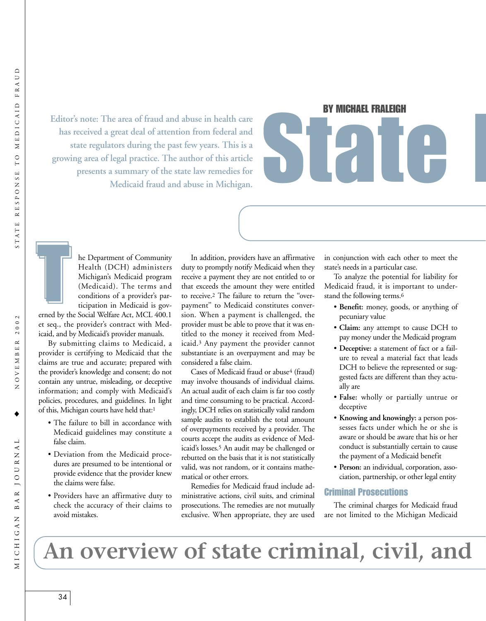**Editor's note: The area of fraud and abuse in health care has received a great deal of attention from federal and state regulators during the past few years. This is a growing area of legal practice. The author of this article presents a summary of the state law remedies for Medicaid fraud and abuse in Michigan.**

# BY MICHAEL FRALEIGH BY MICHAEL FRALEIGH



he Department of Community Health (DCH) administers Michigan's Medicaid program (Medicaid). The terms and conditions of a provider's participation in Medicaid is gov-

erned by the Social Welfare Act, MCL 400.1 et seq., the provider's contract with Medicaid, and by Medicaid's provider manuals.

By submitting claims to Medicaid, a provider is certifying to Medicaid that the claims are true and accurate; prepared with the provider's knowledge and consent; do not contain any untrue, misleading, or deceptive information; and comply with Medicaid's policies, procedures, and guidelines. In light of this, Michigan courts have held that:1

- The failure to bill in accordance with Medicaid guidelines may constitute a false claim.
- Deviation from the Medicaid procedures are presumed to be intentional or provide evidence that the provider knew the claims were false.
- Providers have an affirmative duty to check the accuracy of their claims to avoid mistakes.

In addition, providers have an affirmative duty to promptly notify Medicaid when they receive a payment they are not entitled to or that exceeds the amount they were entitled to receive.2 The failure to return the ''overpayment'' to Medicaid constitutes conversion. When a payment is challenged, the provider must be able to prove that it was entitled to the money it received from Medicaid.3 Any payment the provider cannot substantiate is an overpayment and may be considered a false claim.

Cases of Medicaid fraud or abuse<sup>4</sup> (fraud) may involve thousands of individual claims. An actual audit of each claim is far too costly and time consuming to be practical. Accordingly, DCH relies on statistically valid random sample audits to establish the total amount of overpayments received by a provider. The courts accept the audits as evidence of Medicaid's losses.5 An audit may be challenged or rebutted on the basis that it is not statistically valid, was not random, or it contains mathematical or other errors.

Remedies for Medicaid fraud include administrative actions, civil suits, and criminal prosecutions. The remedies are not mutually exclusive. When appropriate, they are used

in conjunction with each other to meet the state's needs in a particular case.

To analyze the potential for liability for Medicaid fraud, it is important to understand the following terms.6

- **Benefit:** money, goods, or anything of pecuniary value
- **Claim:** any attempt to cause DCH to pay money under the Medicaid program
- **Deceptive:** a statement of fact or a failure to reveal a material fact that leads DCH to believe the represented or suggested facts are different than they actually are
- **False:** wholly or partially untrue or deceptive
- **Knowing and knowingly:** a person possesses facts under which he or she is aware or should be aware that his or her conduct is substantially certain to cause the payment of a Medicaid benefit
- **Person:** an individual, corporation, association, partnership, or other legal entity

#### Criminal Prosecutions

The criminal charges for Medicaid fraud are not limited to the Michigan Medicaid

## **An overview of state criminal, civil, and**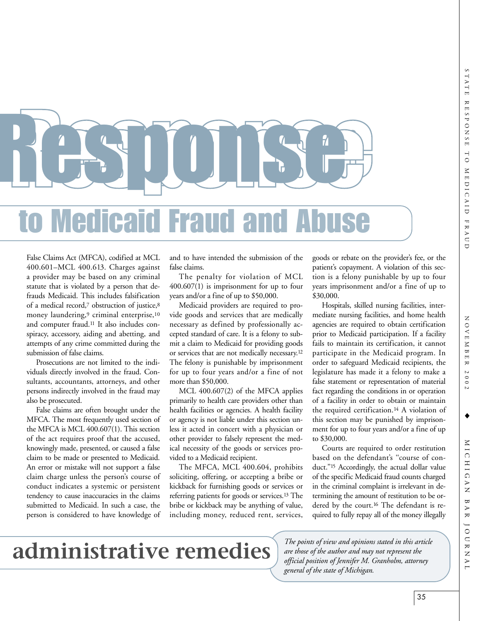NOVEMBER 2002 NOVEMBER 2002

♦

RRS JOHRS **Medicaid Fraud a** RESUIRS"

False Claims Act (MFCA), codified at MCL 400.601–MCL 400.613. Charges against a provider may be based on any criminal statute that is violated by a person that defrauds Medicaid. This includes falsification of a medical record,7 obstruction of justice,8 money laundering,9 criminal enterprise,10 and computer fraud.11 It also includes conspiracy, accessory, aiding and abetting, and attempts of any crime committed during the submission of false claims.

Prosecutions are not limited to the individuals directly involved in the fraud. Consultants, accountants, attorneys, and other persons indirectly involved in the fraud may also be prosecuted.

False claims are often brought under the MFCA. The most frequently used section of the MFCA is MCL 400.607(1). This section of the act requires proof that the accused, knowingly made, presented, or caused a false claim to be made or presented to Medicaid. An error or mistake will not support a false claim charge unless the person's course of conduct indicates a systemic or persistent tendency to cause inaccuracies in the claims submitted to Medicaid. In such a case, the person is considered to have knowledge of

and to have intended the submission of the false claims.

The penalty for violation of MCL 400.607(1) is imprisonment for up to four years and/or a fine of up to \$50,000.

Medicaid providers are required to provide goods and services that are medically necessary as defined by professionally accepted standard of care. It is a felony to submit a claim to Medicaid for providing goods or services that are not medically necessary.12 The felony is punishable by imprisonment for up to four years and/or a fine of not more than \$50,000.

MCL 400.607(2) of the MFCA applies primarily to health care providers other than health facilities or agencies. A health facility or agency is not liable under this section unless it acted in concert with a physician or other provider to falsely represent the medical necessity of the goods or services provided to a Medicaid recipient.

The MFCA, MCL 400.604, prohibits soliciting, offering, or accepting a bribe or kickback for furnishing goods or services or referring patients for goods or services.13 The bribe or kickback may be anything of value, including money, reduced rent, services,

goods or rebate on the provider's fee, or the patient's copayment. A violation of this section is a felony punishable by up to four years imprisonment and/or a fine of up to \$30,000.

Hospitals, skilled nursing facilities, intermediate nursing facilities, and home health agencies are required to obtain certification prior to Medicaid participation. If a facility fails to maintain its certification, it cannot participate in the Medicaid program. In order to safeguard Medicaid recipients, the legislature has made it a felony to make a false statement or representation of material fact regarding the conditions in or operation of a facility in order to obtain or maintain the required certification.14 A violation of this section may be punished by imprisonment for up to four years and/or a fine of up to \$30,000.

Courts are required to order restitution based on the defendant's ''course of conduct.''15 Accordingly, the actual dollar value of the specific Medicaid fraud counts charged in the criminal complaint is irrelevant in determining the amount of restitution to be ordered by the court.16 The defendant is required to fully repay all of the money illegally

 **administrative remedies**

*The points of view and opinions stated in this article are those of the author and may not represent the official position of Jennifer M. Granholm, attorney general of the state of Michigan.*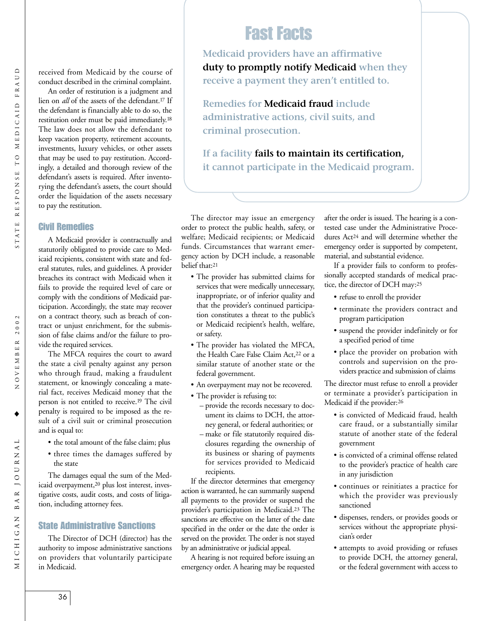$\blacktriangleleft$  $\mathbf{r}$ 

MICHIGAN

on a contract theory, such as breach of contract or unjust enrichment, for the submission of false claims and/or the failure to provide the required services.

to pay the restitution.

Civil Remedies

The MFCA requires the court to award the state a civil penalty against any person who through fraud, making a fraudulent statement, or knowingly concealing a material fact, receives Medicaid money that the person is not entitled to receive.19 The civil penalty is required to be imposed as the result of a civil suit or criminal prosecution and is equal to:

A Medicaid provider is contractually and statutorily obligated to provide care to Medicaid recipients, consistent with state and federal statutes, rules, and guidelines. A provider breaches its contract with Medicaid when it fails to provide the required level of care or comply with the conditions of Medicaid participation. Accordingly, the state may recover

received from Medicaid by the course of conduct described in the criminal complaint. An order of restitution is a judgment and lien on *all* of the assets of the defendant.17 If the defendant is financially able to do so, the restitution order must be paid immediately.18 The law does not allow the defendant to keep vacation property, retirement accounts, investments, luxury vehicles, or other assets that may be used to pay restitution. Accordingly, a detailed and thorough review of the defendant's assets is required. After inventorying the defendant's assets, the court should order the liquidation of the assets necessary

- the total amount of the false claim; plus
- three times the damages suffered by the state

The damages equal the sum of the Medicaid overpayment,20 plus lost interest, investigative costs, audit costs, and costs of litigation, including attorney fees.

#### State Administrative Sanctions

The Director of DCH (director) has the authority to impose administrative sanctions on providers that voluntarily participate in Medicaid.

### Fast Facts

**Medicaid providers have an affirmative duty to promptly notify Medicaid when they receive a payment they aren't entitled to.**

**Remedies for Medicaid fraud include administrative actions, civil suits, and criminal prosecution.**

**If a facility fails to maintain its certification, it cannot participate in the Medicaid program.**

The director may issue an emergency order to protect the public health, safety, or welfare; Medicaid recipients; or Medicaid funds. Circumstances that warrant emergency action by DCH include, a reasonable belief that:21

- The provider has submitted claims for services that were medically unnecessary, inappropriate, or of inferior quality and that the provider's continued participation constitutes a threat to the public's or Medicaid recipient's health, welfare, or safety.
- The provider has violated the MFCA, the Health Care False Claim Act,<sup>22</sup> or a similar statute of another state or the federal government.
- An overpayment may not be recovered.
- The provider is refusing to:
	- provide the records necessary to document its claims to DCH, the attorney general, or federal authorities; or
	- make or file statutorily required disclosures regarding the ownership of its business or sharing of payments for services provided to Medicaid recipients.

If the director determines that emergency action is warranted, he can summarily suspend all payments to the provider or suspend the provider's participation in Medicaid.23 The sanctions are effective on the latter of the date specified in the order or the date the order is served on the provider. The order is not stayed by an administrative or judicial appeal.

A hearing is not required before issuing an emergency order. A hearing may be requested after the order is issued. The hearing is a contested case under the Administrative Procedures Act24 and will determine whether the emergency order is supported by competent, material, and substantial evidence.

If a provider fails to conform to professionally accepted standards of medical practice, the director of DCH may:25

- refuse to enroll the provider
- terminate the providers contract and program participation
- suspend the provider indefinitely or for a specified period of time
- place the provider on probation with controls and supervision on the providers practice and submission of claims

The director must refuse to enroll a provider or terminate a provider's participation in Medicaid if the provider:26

- is convicted of Medicaid fraud, health care fraud, or a substantially similar statute of another state of the federal government
- is convicted of a criminal offense related to the provider's practice of health care in any jurisdiction
- continues or reinitiates a practice for which the provider was previously sanctioned
- dispenses, renders, or provides goods or services without the appropriate physician's order
- attempts to avoid providing or refuses to provide DCH, the attorney general, or the federal government with access to